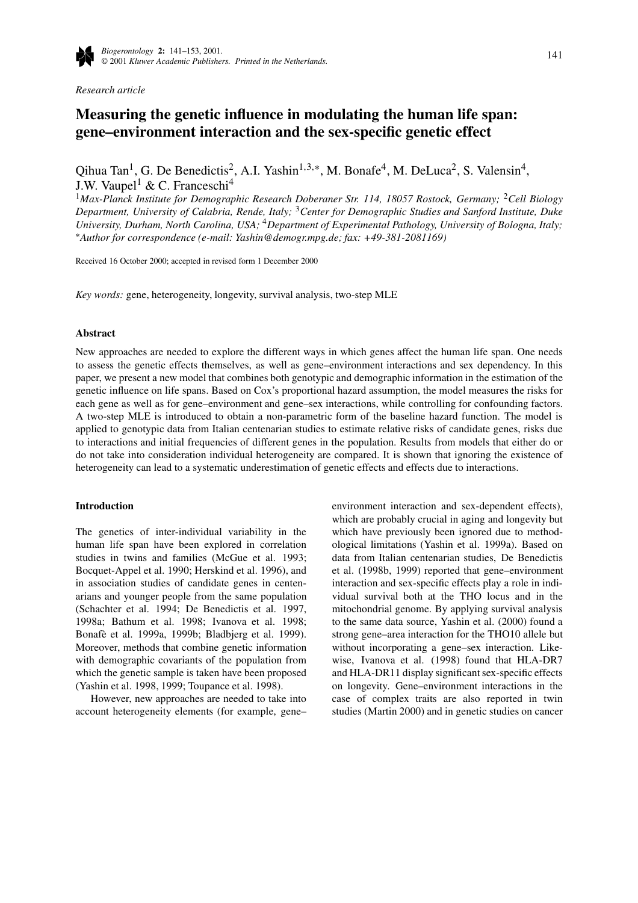

*Research article*

# **Measuring the genetic influence in modulating the human life span: gene–environment interaction and the sex-specific genetic effect**

Oihua Tan<sup>1</sup>, G. De Benedictis<sup>2</sup>, A.I. Yashin<sup>1,3,∗</sup>, M. Bonafe<sup>4</sup>, M. DeLuca<sup>2</sup>, S. Valensin<sup>4</sup>, J.W. Vaupel<sup>1</sup> & C. Franceschi<sup>4</sup>

<sup>1</sup>Max-Planck Institute for Demographic Research Doberaner Str. 114, 18057 Rostock, Germany; <sup>2</sup>Cell Biology *Department, University of Calabria, Rende, Italy;* <sup>3</sup>*Center for Demographic Studies and Sanford Institute, Duke University, Durham, North Carolina, USA;* <sup>4</sup>*Department of Experimental Pathology, University of Bologna, Italy;* ∗*Author for correspondence (e-mail: Yashin@demogr.mpg.de; fax: +49-381-2081169)*

Received 16 October 2000; accepted in revised form 1 December 2000

*Key words:* gene, heterogeneity, longevity, survival analysis, two-step MLE

## **Abstract**

New approaches are needed to explore the different ways in which genes affect the human life span. One needs to assess the genetic effects themselves, as well as gene–environment interactions and sex dependency. In this paper, we present a new model that combines both genotypic and demographic information in the estimation of the genetic influence on life spans. Based on Cox's proportional hazard assumption, the model measures the risks for each gene as well as for gene–environment and gene–sex interactions, while controlling for confounding factors. A two-step MLE is introduced to obtain a non-parametric form of the baseline hazard function. The model is applied to genotypic data from Italian centenarian studies to estimate relative risks of candidate genes, risks due to interactions and initial frequencies of different genes in the population. Results from models that either do or do not take into consideration individual heterogeneity are compared. It is shown that ignoring the existence of heterogeneity can lead to a systematic underestimation of genetic effects and effects due to interactions.

## **Introduction**

The genetics of inter-individual variability in the human life span have been explored in correlation studies in twins and families (McGue et al. 1993; Bocquet-Appel et al. 1990; Herskind et al. 1996), and in association studies of candidate genes in centenarians and younger people from the same population (Schachter et al. 1994; De Benedictis et al. 1997, 1998a; Bathum et al. 1998; Ivanova et al. 1998; Bonafè et al. 1999a, 1999b; Bladbjerg et al. 1999). Moreover, methods that combine genetic information with demographic covariants of the population from which the genetic sample is taken have been proposed (Yashin et al. 1998, 1999; Toupance et al. 1998).

However, new approaches are needed to take into account heterogeneity elements (for example, gene–

environment interaction and sex-dependent effects), which are probably crucial in aging and longevity but which have previously been ignored due to methodological limitations (Yashin et al. 1999a). Based on data from Italian centenarian studies, De Benedictis et al. (1998b, 1999) reported that gene–environment interaction and sex-specific effects play a role in individual survival both at the THO locus and in the mitochondrial genome. By applying survival analysis to the same data source, Yashin et al. (2000) found a strong gene–area interaction for the THO10 allele but without incorporating a gene–sex interaction. Likewise, Ivanova et al. (1998) found that HLA-DR7 and HLA-DR11 display significant sex-specific effects on longevity. Gene–environment interactions in the case of complex traits are also reported in twin studies (Martin 2000) and in genetic studies on cancer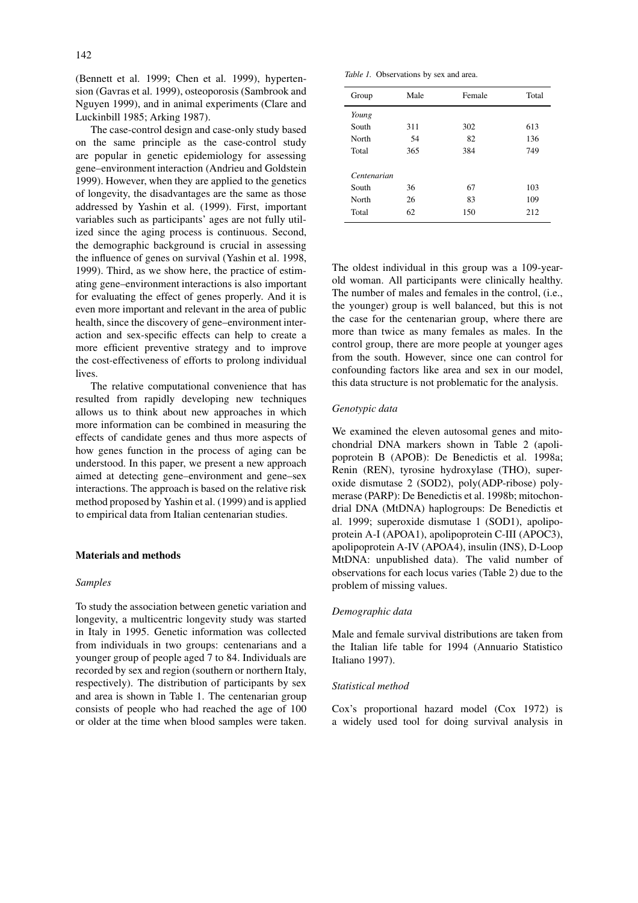(Bennett et al. 1999; Chen et al. 1999), hypertension (Gavras et al. 1999), osteoporosis (Sambrook and Nguyen 1999), and in animal experiments (Clare and Luckinbill 1985; Arking 1987).

The case-control design and case-only study based on the same principle as the case-control study are popular in genetic epidemiology for assessing gene–environment interaction (Andrieu and Goldstein 1999). However, when they are applied to the genetics of longevity, the disadvantages are the same as those addressed by Yashin et al. (1999). First, important variables such as participants' ages are not fully utilized since the aging process is continuous. Second, the demographic background is crucial in assessing the influence of genes on survival (Yashin et al. 1998, 1999). Third, as we show here, the practice of estimating gene–environment interactions is also important for evaluating the effect of genes properly. And it is even more important and relevant in the area of public health, since the discovery of gene–environment interaction and sex-specific effects can help to create a more efficient preventive strategy and to improve the cost-effectiveness of efforts to prolong individual lives.

The relative computational convenience that has resulted from rapidly developing new techniques allows us to think about new approaches in which more information can be combined in measuring the effects of candidate genes and thus more aspects of how genes function in the process of aging can be understood. In this paper, we present a new approach aimed at detecting gene–environment and gene–sex interactions. The approach is based on the relative risk method proposed by Yashin et al. (1999) and is applied to empirical data from Italian centenarian studies.

## **Materials and methods**

## *Samples*

To study the association between genetic variation and longevity, a multicentric longevity study was started in Italy in 1995. Genetic information was collected from individuals in two groups: centenarians and a younger group of people aged 7 to 84. Individuals are recorded by sex and region (southern or northern Italy, respectively). The distribution of participants by sex and area is shown in Table 1. The centenarian group consists of people who had reached the age of 100 or older at the time when blood samples were taken.

*Table 1.* Observations by sex and area.

| Group       | Male | Female | Total |  |  |
|-------------|------|--------|-------|--|--|
| Young       |      |        |       |  |  |
| South       | 311  | 302    | 613   |  |  |
| North       | 54   | 82     | 136   |  |  |
| Total       | 365  | 384    | 749   |  |  |
| Centenarian |      |        |       |  |  |
| South       | 36   | 67     | 103   |  |  |
| North       | 26   | 83     | 109   |  |  |
| Total       | 62   | 150    | 212   |  |  |

The oldest individual in this group was a 109-yearold woman. All participants were clinically healthy. The number of males and females in the control, (i.e., the younger) group is well balanced, but this is not the case for the centenarian group, where there are more than twice as many females as males. In the control group, there are more people at younger ages from the south. However, since one can control for confounding factors like area and sex in our model, this data structure is not problematic for the analysis.

## *Genotypic data*

We examined the eleven autosomal genes and mitochondrial DNA markers shown in Table 2 (apolipoprotein B (APOB): De Benedictis et al. 1998a; Renin (REN), tyrosine hydroxylase (THO), superoxide dismutase 2 (SOD2), poly(ADP-ribose) polymerase (PARP): De Benedictis et al. 1998b; mitochondrial DNA (MtDNA) haplogroups: De Benedictis et al. 1999; superoxide dismutase 1 (SOD1), apolipoprotein A-I (APOA1), apolipoprotein C-III (APOC3), apolipoprotein A-IV (APOA4), insulin (INS), D-Loop MtDNA: unpublished data). The valid number of observations for each locus varies (Table 2) due to the problem of missing values.

#### *Demographic data*

Male and female survival distributions are taken from the Italian life table for 1994 (Annuario Statistico Italiano 1997).

#### *Statistical method*

Cox's proportional hazard model (Cox 1972) is a widely used tool for doing survival analysis in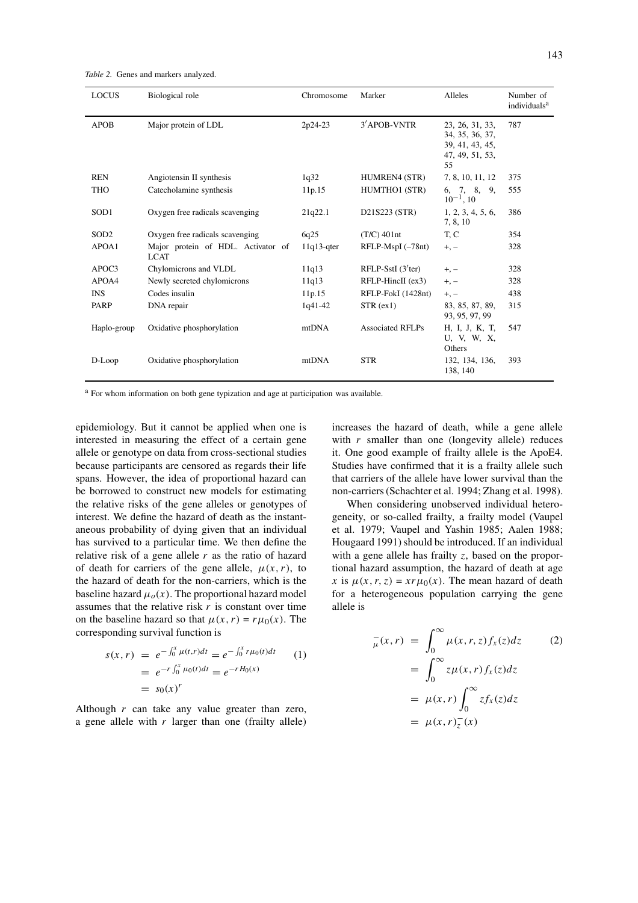*Table 2.* Genes and markers analyzed.

| <b>LOCUS</b>     | Biological role                                   | Chromosome    | Marker                           | Alleles                                                                        | Number of<br>individuals <sup>a</sup> |
|------------------|---------------------------------------------------|---------------|----------------------------------|--------------------------------------------------------------------------------|---------------------------------------|
| <b>APOB</b>      | Major protein of LDL                              | 2p24-23       | 3' APOB-VNTR                     | 23, 26, 31, 33,<br>34, 35, 36, 37,<br>39, 41, 43, 45,<br>47, 49, 51, 53,<br>55 | 787                                   |
| <b>REN</b>       | Angiotensin II synthesis                          | 1q32          | HUMREN4 (STR)                    | 7, 8, 10, 11, 12                                                               | 375                                   |
| THO              | Catecholamine synthesis                           | 11p.15        | HUMTHO1 (STR)                    | 6, 7, 8, 9,<br>$10^{-1}$ , 10                                                  | 555                                   |
| SOD <sub>1</sub> | Oxygen free radicals scavenging                   | 21q22.1       | D21S223 (STR)                    | 1, 2, 3, 4, 5, 6,<br>7, 8, 10                                                  | 386                                   |
| SOD <sub>2</sub> | Oxygen free radicals scavenging                   | 6q25          | $(T/C)$ 401nt                    | T, C                                                                           | 354                                   |
| APOA1            | Major protein of HDL. Activator of<br><b>LCAT</b> | $11q13$ -qter | RFLP-MspI (-78nt)                | $+, -$                                                                         | 328                                   |
| APOC3            | Chylomicrons and VLDL                             | 11q13         | RFLP-SstI $(3$ <sup>'ter</sup> ) | $+, -$                                                                         | 328                                   |
| APOA4            | Newly secreted chylomicrons                       | 11q13         | $RFLP-HincII$ (ex3)              | $+, -$                                                                         | 328                                   |
| <b>INS</b>       | Codes insulin                                     | 11p.15        | RFLP-FokI (1428nt)               | $+,-$                                                                          | 438                                   |
| PARP             | DNA repair                                        | $1q41-42$     | STR (ex1)                        | 83, 85, 87, 89,<br>93, 95, 97, 99                                              | 315                                   |
| Haplo-group      | Oxidative phosphorylation                         | mtDNA         | <b>Associated RFLPs</b>          | H, I, J, K, T,<br>U, V, W, X,<br>Others                                        | 547                                   |
| D-Loop           | Oxidative phosphorylation                         | mtDNA         | <b>STR</b>                       | 132, 134, 136,<br>138, 140                                                     | 393                                   |

<sup>a</sup> For whom information on both gene typization and age at participation was available.

epidemiology. But it cannot be applied when one is interested in measuring the effect of a certain gene allele or genotype on data from cross-sectional studies because participants are censored as regards their life spans. However, the idea of proportional hazard can be borrowed to construct new models for estimating the relative risks of the gene alleles or genotypes of interest. We define the hazard of death as the instantaneous probability of dying given that an individual has survived to a particular time. We then define the relative risk of a gene allele *r* as the ratio of hazard of death for carriers of the gene allele,  $\mu(x, r)$ , to the hazard of death for the non-carriers, which is the baseline hazard  $\mu_o(x)$ . The proportional hazard model assumes that the relative risk *r* is constant over time on the baseline hazard so that  $\mu(x, r) = r\mu_0(x)$ . The corresponding survival function is

$$
s(x, r) = e^{-\int_0^x \mu(t, r)dt} = e^{-\int_0^x r\mu_0(t)dt}
$$
  
=  $e^{-r\int_0^x \mu_0(t)dt} = e^{-rH_0(x)}$   
=  $s_0(x)^r$  (1)

Although *r* can take any value greater than zero, a gene allele with  $r$  larger than one (frailty allele)

increases the hazard of death, while a gene allele with  $r$  smaller than one (longevity allele) reduces it. One good example of frailty allele is the ApoE4. Studies have confirmed that it is a frailty allele such that carriers of the allele have lower survival than the non-carriers (Schachter et al. 1994; Zhang et al. 1998).

When considering unobserved individual heterogeneity, or so-called frailty, a frailty model (Vaupel et al. 1979; Vaupel and Yashin 1985; Aalen 1988; Hougaard 1991) should be introduced. If an individual with a gene allele has frailty *z*, based on the proportional hazard assumption, the hazard of death at age *x* is  $\mu(x, r, z) = xr\mu_0(x)$ . The mean hazard of death for a heterogeneous population carrying the gene allele is

$$
\bar{\mu}(x,r) = \int_0^\infty \mu(x,r,z) f_x(z) dz \qquad (2)
$$

$$
= \int_0^\infty z \mu(x,r) f_x(z) dz
$$

$$
= \mu(x,r) \int_0^\infty z f_x(z) dz
$$

$$
= \mu(x,r) \bar{z}(x)
$$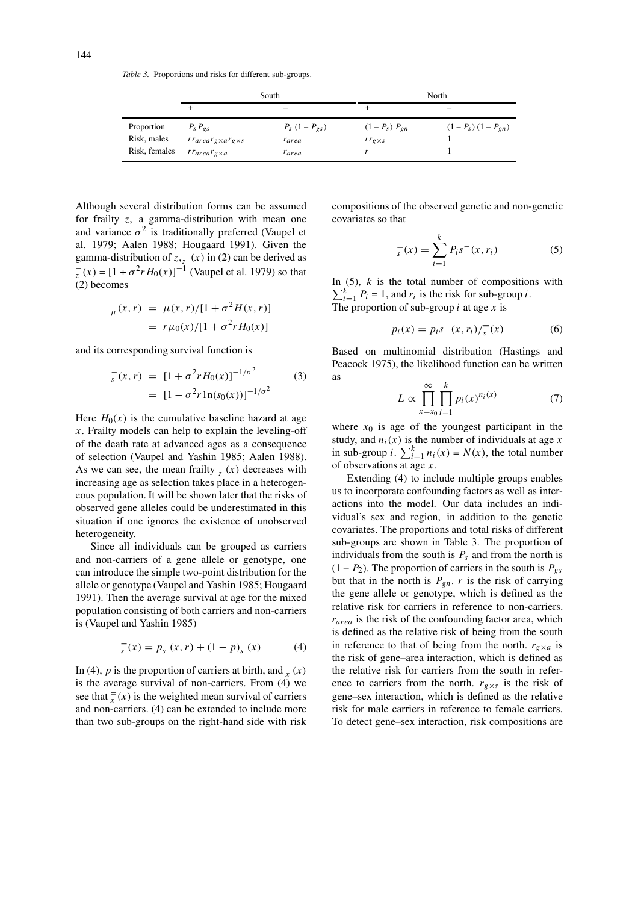*Table 3.* Proportions and risks for different sub-groups.

|                           |                                                      | South                                            | North                                  |                          |  |  |  |
|---------------------------|------------------------------------------------------|--------------------------------------------------|----------------------------------------|--------------------------|--|--|--|
|                           | +                                                    | $\overline{\phantom{a}}$                         | +                                      |                          |  |  |  |
| Proportion<br>Risk, males | $P_{S}P_{\varrho S}$<br>$rrarearg\times arg\times s$ | $P_{S}$ (1 – $P_{\varrho_{S}}$ )<br><i>rarea</i> | $(1 - P_s) P_{en}$<br>$rr_{g\times s}$ | $(1 - P_s) (1 - P_{en})$ |  |  |  |
| Risk, females             | rr <sub>area</sub> r <sub>exa</sub>                  | <i>rarea</i>                                     | r                                      |                          |  |  |  |

Although several distribution forms can be assumed for frailty *z*, a gamma-distribution with mean one and variance  $\sigma^2$  is traditionally preferred (Vaupel et al. 1979; Aalen 1988; Hougaard 1991). Given the gamma-distribution of  $z, z(x)$  in (2) can be derived as  $\sigma_z^-(x) = [1 + \sigma^2 r H_0(x)]^{-1}$  (Vaupel et al. 1979) so that (2) becomes

$$
\bar{\mu}(x,r) = \mu(x,r)/[1 + \sigma^2 H(x,r)]
$$
  
=  $r\mu_0(x)/[1 + \sigma^2 r H_0(x)]$ 

and its corresponding survival function is

$$
\int_{s}^{-}(x,r) = [1 + \sigma^{2} r H_{0}(x)]^{-1/\sigma^{2}}
$$
\n
$$
= [1 - \sigma^{2} r \ln(s_{0}(x))]^{-1/\sigma^{2}}
$$
\n(3)

Here  $H_0(x)$  is the cumulative baseline hazard at age *x*. Frailty models can help to explain the leveling-off of the death rate at advanced ages as a consequence of selection (Vaupel and Yashin 1985; Aalen 1988). As we can see, the mean frailty  $\overline{z}(x)$  decreases with increasing age as selection takes place in a heterogeneous population. It will be shown later that the risks of observed gene alleles could be underestimated in this situation if one ignores the existence of unobserved heterogeneity.

Since all individuals can be grouped as carriers and non-carriers of a gene allele or genotype, one can introduce the simple two-point distribution for the allele or genotype (Vaupel and Yashin 1985; Hougaard 1991). Then the average survival at age for the mixed population consisting of both carriers and non-carriers is (Vaupel and Yashin 1985)

$$
s = p_s^-(x, r) + (1 - p)_s^-(x) \tag{4}
$$

In (4), *p* is the proportion of carriers at birth, and  $\frac{1}{x}(x)$ is the average survival of non-carriers. From (4) we see that  $\frac{f}{x}(x)$  is the weighted mean survival of carriers and non-carriers. (4) can be extended to include more than two sub-groups on the right-hand side with risk compositions of the observed genetic and non-genetic covariates so that

$$
\frac{1}{s}(x) = \sum_{i=1}^{k} P_i s^-(x, r_i)
$$
 (5)

In  $(5)$ ,  $k$  is the total number of compositions with  $\sum_{i=1}^{k} P_i = 1$ , and  $r_i$  is the risk for sub-group *i*. The proportion of sub-group *i* at age *x* is

$$
p_i(x) = p_i s^{-}(x, r_i) / \frac{1}{s}(x)
$$
 (6)

Based on multinomial distribution (Hastings and Peacock 1975), the likelihood function can be written as

$$
L \propto \prod_{x=x_0}^{\infty} \prod_{i=1}^{k} p_i(x)^{n_i(x)} \tag{7}
$$

where  $x_0$  is age of the youngest participant in the study, and  $n_i(x)$  is the number of individuals at age  $x$ in sub-group *i*.  $\sum_{i=1}^{k} n_i(x) = N(x)$ , the total number of observations at age *x*.

Extending (4) to include multiple groups enables us to incorporate confounding factors as well as interactions into the model. Our data includes an individual's sex and region, in addition to the genetic covariates. The proportions and total risks of different sub-groups are shown in Table 3. The proportion of individuals from the south is  $P_s$  and from the north is  $(1 - P_2)$ . The proportion of carriers in the south is  $P_{gs}$ but that in the north is  $P_{gn}$ . *r* is the risk of carrying the gene allele or genotype, which is defined as the relative risk for carriers in reference to non-carriers. *rarea* is the risk of the confounding factor area, which is defined as the relative risk of being from the south in reference to that of being from the north.  $r_{g \times a}$  is the risk of gene–area interaction, which is defined as the relative risk for carriers from the south in reference to carriers from the north.  $r_{g \times s}$  is the risk of gene–sex interaction, which is defined as the relative risk for male carriers in reference to female carriers. To detect gene–sex interaction, risk compositions are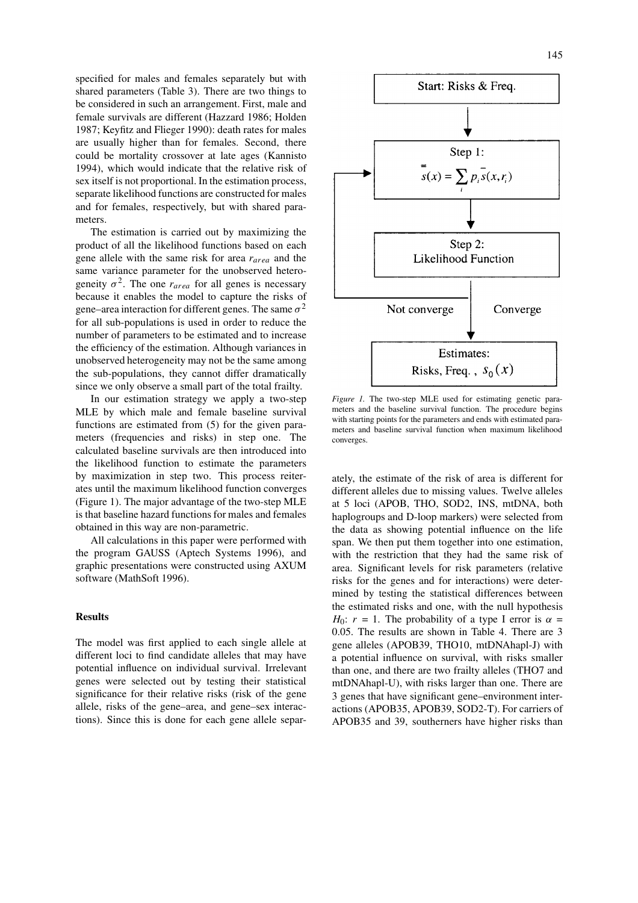specified for males and females separately but with shared parameters (Table 3). There are two things to be considered in such an arrangement. First, male and female survivals are different (Hazzard 1986; Holden 1987; Keyfitz and Flieger 1990): death rates for males are usually higher than for females. Second, there could be mortality crossover at late ages (Kannisto 1994), which would indicate that the relative risk of sex itself is not proportional. In the estimation process, separate likelihood functions are constructed for males and for females, respectively, but with shared parameters.

The estimation is carried out by maximizing the product of all the likelihood functions based on each gene allele with the same risk for area *rarea* and the same variance parameter for the unobserved heterogeneity  $\sigma^2$ . The one  $r_{area}$  for all genes is necessary because it enables the model to capture the risks of gene–area interaction for different genes. The same  $\sigma^2$ for all sub-populations is used in order to reduce the number of parameters to be estimated and to increase the efficiency of the estimation. Although variances in unobserved heterogeneity may not be the same among the sub-populations, they cannot differ dramatically since we only observe a small part of the total frailty.

In our estimation strategy we apply a two-step MLE by which male and female baseline survival functions are estimated from (5) for the given parameters (frequencies and risks) in step one. The calculated baseline survivals are then introduced into the likelihood function to estimate the parameters by maximization in step two. This process reiterates until the maximum likelihood function converges (Figure 1). The major advantage of the two-step MLE is that baseline hazard functions for males and females obtained in this way are non-parametric.

All calculations in this paper were performed with the program GAUSS (Aptech Systems 1996), and graphic presentations were constructed using AXUM software (MathSoft 1996).

# **Results**

The model was first applied to each single allele at different loci to find candidate alleles that may have potential influence on individual survival. Irrelevant genes were selected out by testing their statistical significance for their relative risks (risk of the gene allele, risks of the gene–area, and gene–sex interactions). Since this is done for each gene allele separ-



*Figure 1.* The two-step MLE used for estimating genetic parameters and the baseline survival function. The procedure begins with starting points for the parameters and ends with estimated parameters and baseline survival function when maximum likelihood converges.

ately, the estimate of the risk of area is different for different alleles due to missing values. Twelve alleles at 5 loci (APOB, THO, SOD2, INS, mtDNA, both haplogroups and D-loop markers) were selected from the data as showing potential influence on the life span. We then put them together into one estimation, with the restriction that they had the same risk of area. Significant levels for risk parameters (relative risks for the genes and for interactions) were determined by testing the statistical differences between the estimated risks and one, with the null hypothesis *H*<sub>0</sub>:  $r = 1$ . The probability of a type I error is  $\alpha =$ 0.05. The results are shown in Table 4. There are 3 gene alleles (APOB39, THO10, mtDNAhapl-J) with a potential influence on survival, with risks smaller than one, and there are two frailty alleles (THO7 and mtDNAhapl-U), with risks larger than one. There are 3 genes that have significant gene–environment interactions (APOB35, APOB39, SOD2-T). For carriers of APOB35 and 39, southerners have higher risks than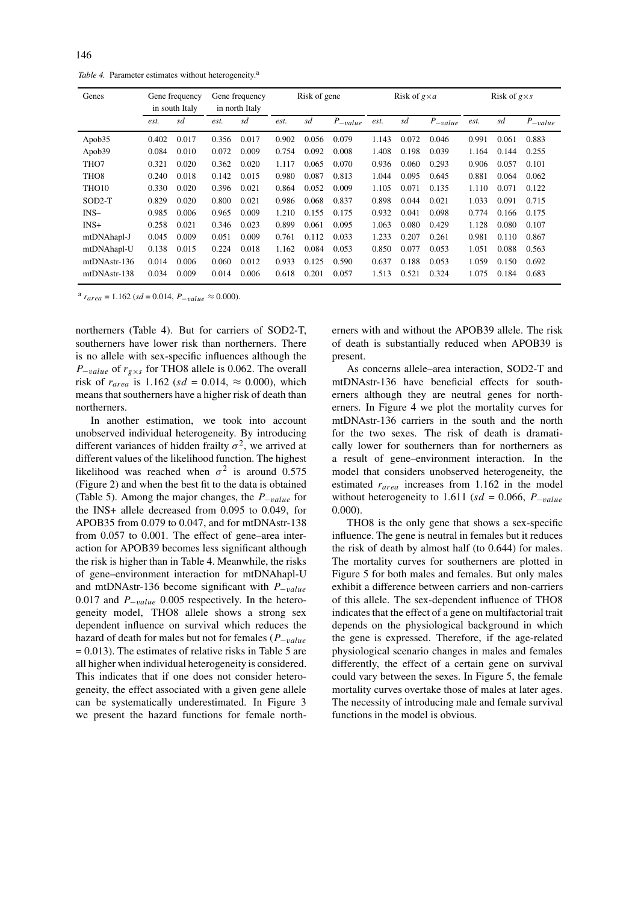Table 4. Parameter estimates without heterogeneity.<sup>a</sup>

| Genes              | Gene frequency<br>in south Italy |       | Gene frequency<br>in north Italy |       | Risk of gene |       |             | Risk of $g \times a$ |       |             | Risk of $g \times s$ |       |             |
|--------------------|----------------------------------|-------|----------------------------------|-------|--------------|-------|-------------|----------------------|-------|-------------|----------------------|-------|-------------|
|                    | est.                             | sd    | est.                             | sd    | est.         | sd    | $P_{value}$ | est.                 | sd    | $P_{value}$ | est.                 | sd    | $P_{value}$ |
| Apob <sub>35</sub> | 0.402                            | 0.017 | 0.356                            | 0.017 | 0.902        | 0.056 | 0.079       | 1.143                | 0.072 | 0.046       | 0.991                | 0.061 | 0.883       |
| Apob39             | 0.084                            | 0.010 | 0.072                            | 0.009 | 0.754        | 0.092 | 0.008       | 1.408                | 0.198 | 0.039       | 1.164                | 0.144 | 0.255       |
| THO7               | 0.321                            | 0.020 | 0.362                            | 0.020 | 1.117        | 0.065 | 0.070       | 0.936                | 0.060 | 0.293       | 0.906                | 0.057 | 0.101       |
| THO <sub>8</sub>   | 0.240                            | 0.018 | 0.142                            | 0.015 | 0.980        | 0.087 | 0.813       | 1.044                | 0.095 | 0.645       | 0.881                | 0.064 | 0.062       |
| THO <sub>10</sub>  | 0.330                            | 0.020 | 0.396                            | 0.021 | 0.864        | 0.052 | 0.009       | 1.105                | 0.071 | 0.135       | 1.110                | 0.071 | 0.122       |
| $SOD2-T$           | 0.829                            | 0.020 | 0.800                            | 0.021 | 0.986        | 0.068 | 0.837       | 0.898                | 0.044 | 0.021       | 1.033                | 0.091 | 0.715       |
| $INS-$             | 0.985                            | 0.006 | 0.965                            | 0.009 | 1.210        | 0.155 | 0.175       | 0.932                | 0.041 | 0.098       | 0.774                | 0.166 | 0.175       |
| $INS+$             | 0.258                            | 0.021 | 0.346                            | 0.023 | 0.899        | 0.061 | 0.095       | 1.063                | 0.080 | 0.429       | 1.128                | 0.080 | 0.107       |
| mtDNAhapl-J        | 0.045                            | 0.009 | 0.051                            | 0.009 | 0.761        | 0.112 | 0.033       | 1.233                | 0.207 | 0.261       | 0.981                | 0.110 | 0.867       |
| mtDNAhapl-U        | 0.138                            | 0.015 | 0.224                            | 0.018 | 1.162        | 0.084 | 0.053       | 0.850                | 0.077 | 0.053       | 1.051                | 0.088 | 0.563       |
| mtDNAstr-136       | 0.014                            | 0.006 | 0.060                            | 0.012 | 0.933        | 0.125 | 0.590       | 0.637                | 0.188 | 0.053       | 1.059                | 0.150 | 0.692       |
| mtDNAstr-138       | 0.034                            | 0.009 | 0.014                            | 0.006 | 0.618        | 0.201 | 0.057       | 1.513                | 0.521 | 0.324       | 1.075                | 0.184 | 0.683       |

<sup>a</sup>  $r_{area}$  = 1.162 (*sd* = 0.014,  $P_{-value}$  ≈ 0.000).

northerners (Table 4). But for carriers of SOD2-T, southerners have lower risk than northerners. There is no allele with sex-specific influences although the *P*−*value* of  $r_{g \times s}$  for THO8 allele is 0.062. The overall risk of  $r_{area}$  is 1.162 (*sd* = 0.014,  $\approx$  0.000), which means that southerners have a higher risk of death than northerners.

In another estimation, we took into account unobserved individual heterogeneity. By introducing different variances of hidden frailty  $\sigma^2$ , we arrived at different values of the likelihood function. The highest likelihood was reached when  $\sigma^2$  is around 0.575 (Figure 2) and when the best fit to the data is obtained (Table 5). Among the major changes, the *P*−*value* for the INS+ allele decreased from 0.095 to 0.049, for APOB35 from 0.079 to 0.047, and for mtDNAstr-138 from 0.057 to 0.001. The effect of gene–area interaction for APOB39 becomes less significant although the risk is higher than in Table 4. Meanwhile, the risks of gene–environment interaction for mtDNAhapl-U and mtDNAstr-136 become significant with *P*−*value* 0.017 and *P*−*value* 0.005 respectively. In the heterogeneity model, THO8 allele shows a strong sex dependent influence on survival which reduces the hazard of death for males but not for females (*P*−*value*  $= 0.013$ ). The estimates of relative risks in Table 5 are all higher when individual heterogeneity is considered. This indicates that if one does not consider heterogeneity, the effect associated with a given gene allele can be systematically underestimated. In Figure 3 we present the hazard functions for female northerners with and without the APOB39 allele. The risk of death is substantially reduced when APOB39 is present.

As concerns allele–area interaction, SOD2-T and mtDNAstr-136 have beneficial effects for southerners although they are neutral genes for northerners. In Figure 4 we plot the mortality curves for mtDNAstr-136 carriers in the south and the north for the two sexes. The risk of death is dramatically lower for southerners than for northerners as a result of gene–environment interaction. In the model that considers unobserved heterogeneity, the estimated *rarea* increases from 1.162 in the model without heterogeneity to 1.611 (*sd* = 0.066, *P*−*value* 0.000).

THO8 is the only gene that shows a sex-specific influence. The gene is neutral in females but it reduces the risk of death by almost half (to 0.644) for males. The mortality curves for southerners are plotted in Figure 5 for both males and females. But only males exhibit a difference between carriers and non-carriers of this allele. The sex-dependent influence of THO8 indicates that the effect of a gene on multifactorial trait depends on the physiological background in which the gene is expressed. Therefore, if the age-related physiological scenario changes in males and females differently, the effect of a certain gene on survival could vary between the sexes. In Figure 5, the female mortality curves overtake those of males at later ages. The necessity of introducing male and female survival functions in the model is obvious.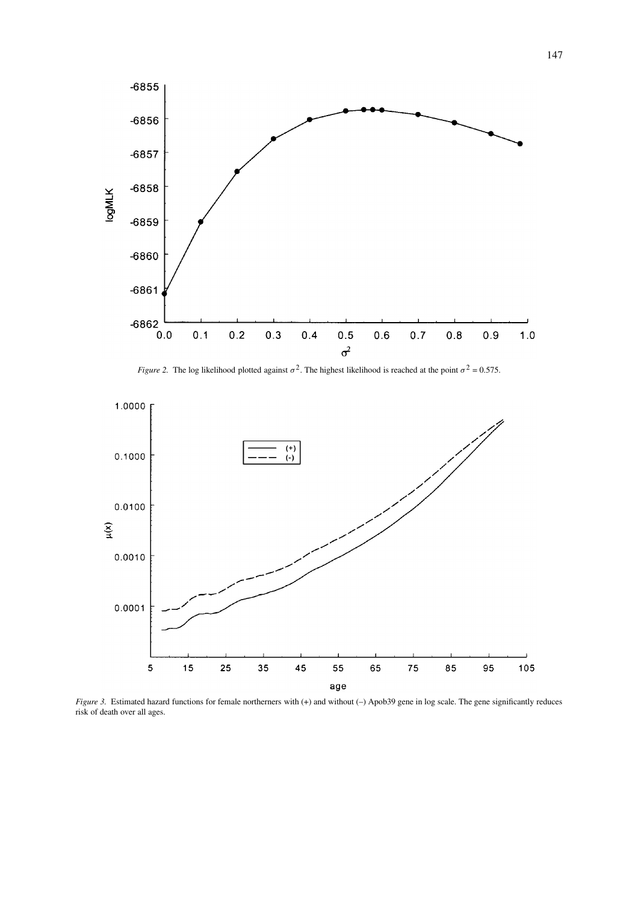

*Figure 2.* The log likelihood plotted against  $\sigma^2$ . The highest likelihood is reached at the point  $\sigma^2 = 0.575$ .



*Figure 3.* Estimated hazard functions for female northerners with (+) and without (–) Apob39 gene in log scale. The gene significantly reduces risk of death over all ages.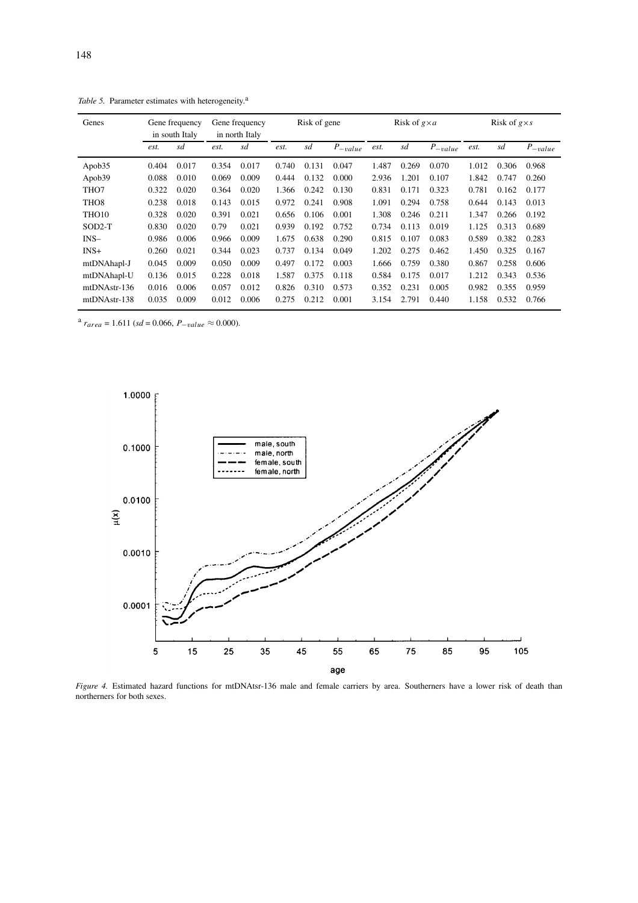| Genes              | Gene frequency<br>in south Italy |       | Gene frequency<br>in north Italy |       | Risk of gene |       |             | Risk of $g \times a$ |       |              | Risk of $g \times s$ |       |             |
|--------------------|----------------------------------|-------|----------------------------------|-------|--------------|-------|-------------|----------------------|-------|--------------|----------------------|-------|-------------|
|                    | est.                             | sd    | est.                             | sd    | est.         | sd    | $P_{value}$ | est.                 | sd    | $P_{-value}$ | est.                 | sd    | $P_{value}$ |
| Apob <sub>35</sub> | 0.404                            | 0.017 | 0.354                            | 0.017 | 0.740        | 0.131 | 0.047       | 1.487                | 0.269 | 0.070        | 1.012                | 0.306 | 0.968       |
| Apob39             | 0.088                            | 0.010 | 0.069                            | 0.009 | 0.444        | 0.132 | 0.000       | 2.936                | 1.201 | 0.107        | 1.842                | 0.747 | 0.260       |
| THO7               | 0.322                            | 0.020 | 0.364                            | 0.020 | 1.366        | 0.242 | 0.130       | 0.831                | 0.171 | 0.323        | 0.781                | 0.162 | 0.177       |
| THO <sub>8</sub>   | 0.238                            | 0.018 | 0.143                            | 0.015 | 0.972        | 0.241 | 0.908       | 1.091                | 0.294 | 0.758        | 0.644                | 0.143 | 0.013       |
| THO <sub>10</sub>  | 0.328                            | 0.020 | 0.391                            | 0.021 | 0.656        | 0.106 | 0.001       | 1.308                | 0.246 | 0.211        | 1.347                | 0.266 | 0.192       |
| $SOD2-T$           | 0.830                            | 0.020 | 0.79                             | 0.021 | 0.939        | 0.192 | 0.752       | 0.734                | 0.113 | 0.019        | 1.125                | 0.313 | 0.689       |
| $INS-$             | 0.986                            | 0.006 | 0.966                            | 0.009 | 1.675        | 0.638 | 0.290       | 0.815                | 0.107 | 0.083        | 0.589                | 0.382 | 0.283       |
| $INS+$             | 0.260                            | 0.021 | 0.344                            | 0.023 | 0.737        | 0.134 | 0.049       | 1.202                | 0.275 | 0.462        | 1.450                | 0.325 | 0.167       |
| mtDNAhapl-J        | 0.045                            | 0.009 | 0.050                            | 0.009 | 0.497        | 0.172 | 0.003       | 1.666                | 0.759 | 0.380        | 0.867                | 0.258 | 0.606       |
| mtDNAhapl-U        | 0.136                            | 0.015 | 0.228                            | 0.018 | 1.587        | 0.375 | 0.118       | 0.584                | 0.175 | 0.017        | 1.212                | 0.343 | 0.536       |
| mtDNAstr-136       | 0.016                            | 0.006 | 0.057                            | 0.012 | 0.826        | 0.310 | 0.573       | 0.352                | 0.231 | 0.005        | 0.982                | 0.355 | 0.959       |
| mtDNAstr-138       | 0.035                            | 0.009 | 0.012                            | 0.006 | 0.275        | 0.212 | 0.001       | 3.154                | 2.791 | 0.440        | 1.158                | 0.532 | 0.766       |

Table 5. Parameter estimates with heterogeneity.<sup>a</sup>

<sup>a</sup>  $r_{area}$  = 1.611 (*sd* = 0.066,  $P_{-value}$  ≈ 0.000).



*Figure 4.* Estimated hazard functions for mtDNAtsr-136 male and female carriers by area. Southerners have a lower risk of death than northerners for both sexes.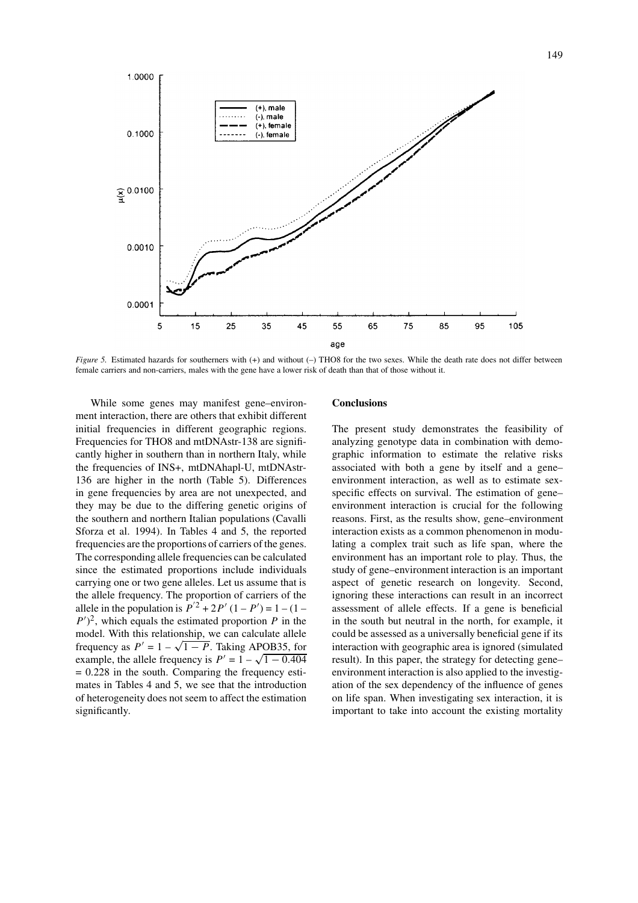

*Figure 5.* Estimated hazards for southerners with (+) and without (-) THO8 for the two sexes. While the death rate does not differ between female carriers and non-carriers, males with the gene have a lower risk of death than that of those without it.

While some genes may manifest gene–environment interaction, there are others that exhibit different initial frequencies in different geographic regions. Frequencies for THO8 and mtDNAstr-138 are significantly higher in southern than in northern Italy, while the frequencies of INS+, mtDNAhapl-U, mtDNAstr-136 are higher in the north (Table 5). Differences in gene frequencies by area are not unexpected, and they may be due to the differing genetic origins of the southern and northern Italian populations (Cavalli Sforza et al. 1994). In Tables 4 and 5, the reported frequencies are the proportions of carriers of the genes. The corresponding allele frequencies can be calculated since the estimated proportions include individuals carrying one or two gene alleles. Let us assume that is the allele frequency. The proportion of carriers of the allele in the population is  $P^{2} + 2P' (1 - P') = 1 - (1 P'$ <sup>2</sup>, which equals the estimated proportion *P* in the model. With this relationship, we can calculate allele frequency as  $P' = 1 - \sqrt{1 - P}$ . Taking APOB35, for example, the allele frequency is  $P' = 1 - \sqrt{1 - 0.404}$  $= 0.228$  in the south. Comparing the frequency estimates in Tables 4 and 5, we see that the introduction of heterogeneity does not seem to affect the estimation significantly.

## **Conclusions**

The present study demonstrates the feasibility of analyzing genotype data in combination with demographic information to estimate the relative risks associated with both a gene by itself and a gene– environment interaction, as well as to estimate sexspecific effects on survival. The estimation of gene– environment interaction is crucial for the following reasons. First, as the results show, gene–environment interaction exists as a common phenomenon in modulating a complex trait such as life span, where the environment has an important role to play. Thus, the study of gene–environment interaction is an important aspect of genetic research on longevity. Second, ignoring these interactions can result in an incorrect assessment of allele effects. If a gene is beneficial in the south but neutral in the north, for example, it could be assessed as a universally beneficial gene if its interaction with geographic area is ignored (simulated result). In this paper, the strategy for detecting gene– environment interaction is also applied to the investigation of the sex dependency of the influence of genes on life span. When investigating sex interaction, it is important to take into account the existing mortality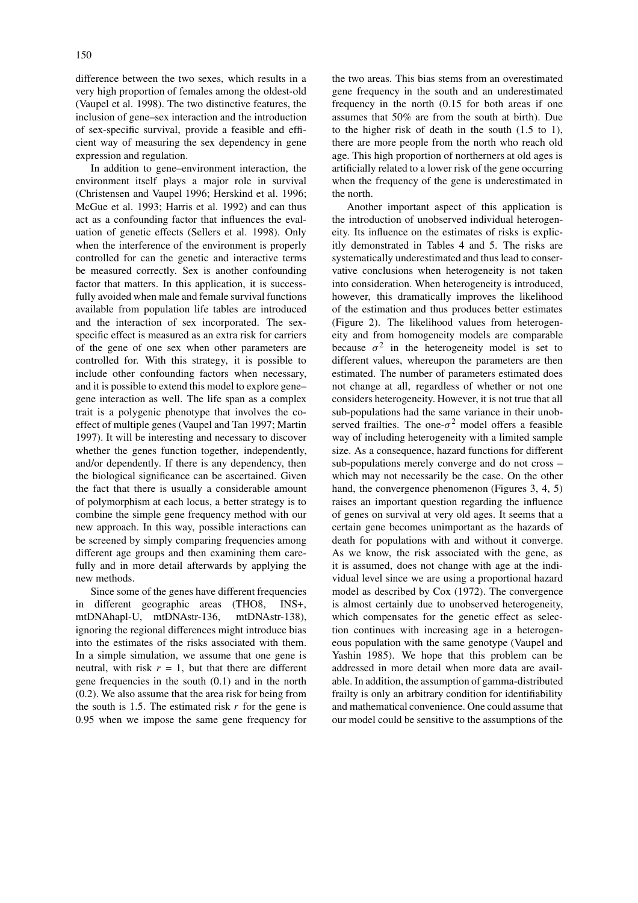difference between the two sexes, which results in a very high proportion of females among the oldest-old (Vaupel et al. 1998). The two distinctive features, the inclusion of gene–sex interaction and the introduction of sex-specific survival, provide a feasible and efficient way of measuring the sex dependency in gene expression and regulation.

In addition to gene–environment interaction, the environment itself plays a major role in survival (Christensen and Vaupel 1996; Herskind et al. 1996; McGue et al. 1993; Harris et al. 1992) and can thus act as a confounding factor that influences the evaluation of genetic effects (Sellers et al. 1998). Only when the interference of the environment is properly controlled for can the genetic and interactive terms be measured correctly. Sex is another confounding factor that matters. In this application, it is successfully avoided when male and female survival functions available from population life tables are introduced and the interaction of sex incorporated. The sexspecific effect is measured as an extra risk for carriers of the gene of one sex when other parameters are controlled for. With this strategy, it is possible to include other confounding factors when necessary, and it is possible to extend this model to explore gene– gene interaction as well. The life span as a complex trait is a polygenic phenotype that involves the coeffect of multiple genes (Vaupel and Tan 1997; Martin 1997). It will be interesting and necessary to discover whether the genes function together, independently, and/or dependently. If there is any dependency, then the biological significance can be ascertained. Given the fact that there is usually a considerable amount of polymorphism at each locus, a better strategy is to combine the simple gene frequency method with our new approach. In this way, possible interactions can be screened by simply comparing frequencies among different age groups and then examining them carefully and in more detail afterwards by applying the new methods.

Since some of the genes have different frequencies in different geographic areas (THO8, INS+, mtDNAhapl-U, mtDNAstr-136, mtDNAstr-138), ignoring the regional differences might introduce bias into the estimates of the risks associated with them. In a simple simulation, we assume that one gene is neutral, with risk  $r = 1$ , but that there are different gene frequencies in the south (0.1) and in the north (0.2). We also assume that the area risk for being from the south is 1.5. The estimated risk  $r$  for the gene is 0.95 when we impose the same gene frequency for the two areas. This bias stems from an overestimated gene frequency in the south and an underestimated frequency in the north (0.15 for both areas if one assumes that 50% are from the south at birth). Due to the higher risk of death in the south (1.5 to 1), there are more people from the north who reach old age. This high proportion of northerners at old ages is artificially related to a lower risk of the gene occurring when the frequency of the gene is underestimated in the north.

Another important aspect of this application is the introduction of unobserved individual heterogeneity. Its influence on the estimates of risks is explicitly demonstrated in Tables 4 and 5. The risks are systematically underestimated and thus lead to conservative conclusions when heterogeneity is not taken into consideration. When heterogeneity is introduced, however, this dramatically improves the likelihood of the estimation and thus produces better estimates (Figure 2). The likelihood values from heterogeneity and from homogeneity models are comparable because  $\sigma^2$  in the heterogeneity model is set to different values, whereupon the parameters are then estimated. The number of parameters estimated does not change at all, regardless of whether or not one considers heterogeneity. However, it is not true that all sub-populations had the same variance in their unobserved frailties. The one- $\sigma^2$  model offers a feasible way of including heterogeneity with a limited sample size. As a consequence, hazard functions for different sub-populations merely converge and do not cross – which may not necessarily be the case. On the other hand, the convergence phenomenon (Figures 3, 4, 5) raises an important question regarding the influence of genes on survival at very old ages. It seems that a certain gene becomes unimportant as the hazards of death for populations with and without it converge. As we know, the risk associated with the gene, as it is assumed, does not change with age at the individual level since we are using a proportional hazard model as described by Cox (1972). The convergence is almost certainly due to unobserved heterogeneity, which compensates for the genetic effect as selection continues with increasing age in a heterogeneous population with the same genotype (Vaupel and Yashin 1985). We hope that this problem can be addressed in more detail when more data are available. In addition, the assumption of gamma-distributed frailty is only an arbitrary condition for identifiability and mathematical convenience. One could assume that our model could be sensitive to the assumptions of the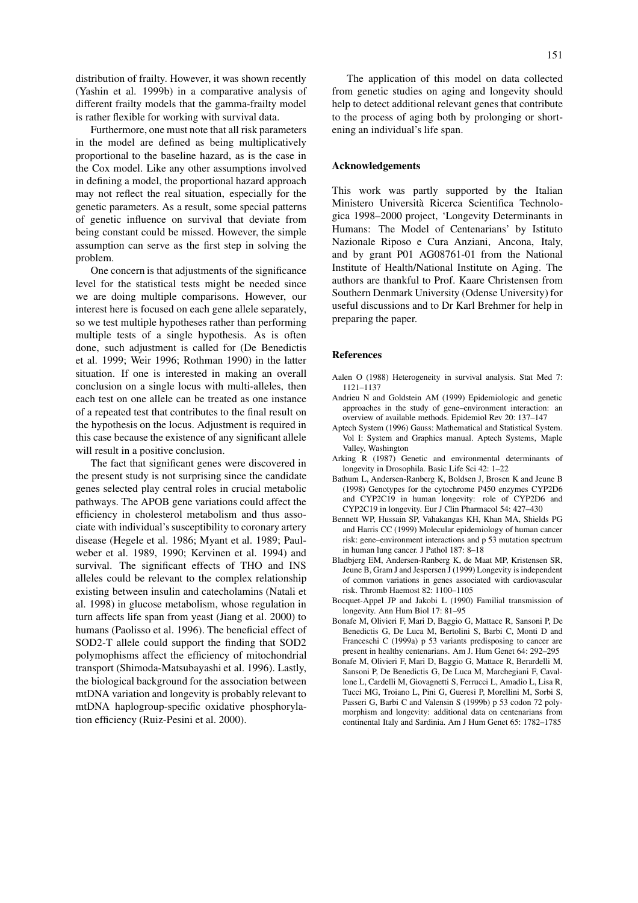distribution of frailty. However, it was shown recently (Yashin et al. 1999b) in a comparative analysis of different frailty models that the gamma-frailty model is rather flexible for working with survival data.

Furthermore, one must note that all risk parameters in the model are defined as being multiplicatively proportional to the baseline hazard, as is the case in the Cox model. Like any other assumptions involved in defining a model, the proportional hazard approach may not reflect the real situation, especially for the genetic parameters. As a result, some special patterns of genetic influence on survival that deviate from being constant could be missed. However, the simple assumption can serve as the first step in solving the problem.

One concern is that adjustments of the significance level for the statistical tests might be needed since we are doing multiple comparisons. However, our interest here is focused on each gene allele separately, so we test multiple hypotheses rather than performing multiple tests of a single hypothesis. As is often done, such adjustment is called for (De Benedictis et al. 1999; Weir 1996; Rothman 1990) in the latter situation. If one is interested in making an overall conclusion on a single locus with multi-alleles, then each test on one allele can be treated as one instance of a repeated test that contributes to the final result on the hypothesis on the locus. Adjustment is required in this case because the existence of any significant allele will result in a positive conclusion.

The fact that significant genes were discovered in the present study is not surprising since the candidate genes selected play central roles in crucial metabolic pathways. The APOB gene variations could affect the efficiency in cholesterol metabolism and thus associate with individual's susceptibility to coronary artery disease (Hegele et al. 1986; Myant et al. 1989; Paulweber et al. 1989, 1990; Kervinen et al. 1994) and survival. The significant effects of THO and INS alleles could be relevant to the complex relationship existing between insulin and catecholamins (Natali et al. 1998) in glucose metabolism, whose regulation in turn affects life span from yeast (Jiang et al. 2000) to humans (Paolisso et al. 1996). The beneficial effect of SOD2-T allele could support the finding that SOD2 polymophisms affect the efficiency of mitochondrial transport (Shimoda-Matsubayashi et al. 1996). Lastly, the biological background for the association between mtDNA variation and longevity is probably relevant to mtDNA haplogroup-specific oxidative phosphorylation efficiency (Ruiz-Pesini et al. 2000).

#### **Acknowledgements**

This work was partly supported by the Italian Ministero Università Ricerca Scientifica Technologica 1998–2000 project, 'Longevity Determinants in Humans: The Model of Centenarians' by Istituto Nazionale Riposo e Cura Anziani, Ancona, Italy, and by grant P01 AG08761-01 from the National Institute of Health/National Institute on Aging. The authors are thankful to Prof. Kaare Christensen from Southern Denmark University (Odense University) for useful discussions and to Dr Karl Brehmer for help in preparing the paper.

#### **References**

- Aalen O (1988) Heterogeneity in survival analysis. Stat Med 7: 1121–1137
- Andrieu N and Goldstein AM (1999) Epidemiologic and genetic approaches in the study of gene–environment interaction: an overview of available methods. Epidemiol Rev 20: 137–147
- Aptech System (1996) Gauss: Mathematical and Statistical System. Vol I: System and Graphics manual. Aptech Systems, Maple Valley, Washington
- Arking R (1987) Genetic and environmental determinants of longevity in Drosophila. Basic Life Sci 42: 1–22
- Bathum L, Andersen-Ranberg K, Boldsen J, Brosen K and Jeune B (1998) Genotypes for the cytochrome P450 enzymes CYP2D6 and CYP2C19 in human longevity: role of CYP2D6 and CYP2C19 in longevity. Eur J Clin Pharmacol 54: 427–430
- Bennett WP, Hussain SP, Vahakangas KH, Khan MA, Shields PG and Harris CC (1999) Molecular epidemiology of human cancer risk: gene–environment interactions and p 53 mutation spectrum in human lung cancer. J Pathol 187: 8–18
- Bladbjerg EM, Andersen-Ranberg K, de Maat MP, Kristensen SR, Jeune B, Gram J and Jespersen J (1999) Longevity is independent of common variations in genes associated with cardiovascular risk. Thromb Haemost 82: 1100–1105
- Bocquet-Appel JP and Jakobi L (1990) Familial transmission of longevity. Ann Hum Biol 17: 81–95
- Bonafe M, Olivieri F, Mari D, Baggio G, Mattace R, Sansoni P, De Benedictis G, De Luca M, Bertolini S, Barbi C, Monti D and Franceschi C (1999a) p 53 variants predisposing to cancer are present in healthy centenarians. Am J. Hum Genet 64: 292–295
- Bonafe M, Olivieri F, Mari D, Baggio G, Mattace R, Berardelli M, Sansoni P, De Benedictis G, De Luca M, Marchegiani F, Cavallone L, Cardelli M, Giovagnetti S, Ferrucci L, Amadio L, Lisa R, Tucci MG, Troiano L, Pini G, Gueresi P, Morellini M, Sorbi S, Passeri G, Barbi C and Valensin S (1999b) p 53 codon 72 polymorphism and longevity: additional data on centenarians from continental Italy and Sardinia. Am J Hum Genet 65: 1782–1785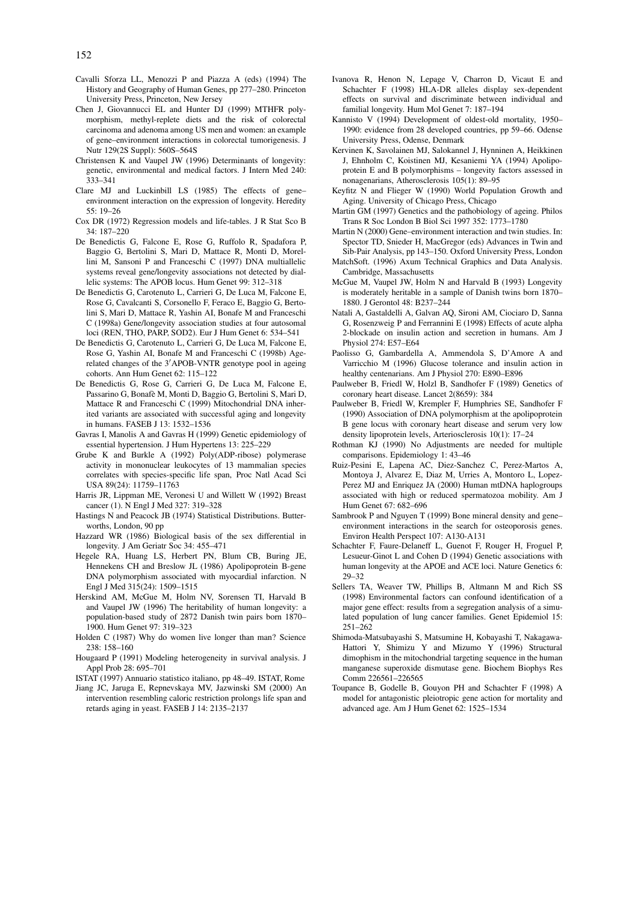- Cavalli Sforza LL, Menozzi P and Piazza A (eds) (1994) The History and Geography of Human Genes, pp 277–280. Princeton University Press, Princeton, New Jersey
- Chen J, Giovannucci EL and Hunter DJ (1999) MTHFR polymorphism, methyl-replete diets and the risk of colorectal carcinoma and adenoma among US men and women: an example of gene–environment interactions in colorectal tumorigenesis. J Nutr 129(2S Suppl): 560S–564S
- Christensen K and Vaupel JW (1996) Determinants of longevity: genetic, environmental and medical factors. J Intern Med 240: 333–341
- Clare MJ and Luckinbill LS (1985) The effects of gene– environment interaction on the expression of longevity. Heredity 55: 19–26
- Cox DR (1972) Regression models and life-tables. J R Stat Sco B 34: 187–220
- De Benedictis G, Falcone E, Rose G, Ruffolo R, Spadafora P, Baggio G, Bertolini S, Mari D, Mattace R, Monti D, Morellini M, Sansoni P and Franceschi C (1997) DNA multiallelic systems reveal gene/longevity associations not detected by diallelic systems: The APOB locus. Hum Genet 99: 312–318
- De Benedictis G, Carotenuto L, Carrieri G, De Luca M, Falcone E, Rose G, Cavalcanti S, Corsonello F, Feraco E, Baggio G, Bertolini S, Mari D, Mattace R, Yashin AI, Bonafe M and Franceschi C (1998a) Gene/longevity association studies at four autosomal loci (REN, THO, PARP, SOD2). Eur J Hum Genet 6: 534–541
- De Benedictis G, Carotenuto L, Carrieri G, De Luca M, Falcone E, Rose G, Yashin AI, Bonafe M and Franceschi C (1998b) Agerelated changes of the 3'APOB-VNTR genotype pool in ageing cohorts. Ann Hum Genet 62: 115–122
- De Benedictis G, Rose G, Carrieri G, De Luca M, Falcone E, Passarino G, Bonafè M, Monti D, Baggio G, Bertolini S, Mari D, Mattace R and Franceschi C (1999) Mitochondrial DNA inherited variants are associated with successful aging and longevity in humans. FASEB J 13: 1532–1536
- Gavras I, Manolis A and Gavras H (1999) Genetic epidemiology of essential hypertension. J Hum Hypertens 13: 225–229
- Grube K and Burkle A (1992) Poly(ADP-ribose) polymerase activity in mononuclear leukocytes of 13 mammalian species correlates with species-specific life span, Proc Natl Acad Sci USA 89(24): 11759–11763
- Harris JR, Lippman ME, Veronesi U and Willett W (1992) Breast cancer (1). N Engl J Med 327: 319–328
- Hastings N and Peacock JB (1974) Statistical Distributions. Butterworths, London, 90 pp
- Hazzard WR (1986) Biological basis of the sex differential in longevity. J Am Geriatr Soc 34: 455–471
- Hegele RA, Huang LS, Herbert PN, Blum CB, Buring JE, Hennekens CH and Breslow JL (1986) Apolipoprotein B-gene DNA polymorphism associated with myocardial infarction. N Engl J Med 315(24): 1509–1515
- Herskind AM, McGue M, Holm NV, Sorensen TI, Harvald B and Vaupel JW (1996) The heritability of human longevity: a population-based study of 2872 Danish twin pairs born 1870– 1900. Hum Genet 97: 319–323
- Holden C (1987) Why do women live longer than man? Science 238: 158–160
- Hougaard P (1991) Modeling heterogeneity in survival analysis. J Appl Prob 28: 695–701
- ISTAT (1997) Annuario statistico italiano, pp 48–49. ISTAT, Rome
- Jiang JC, Jaruga E, Repnevskaya MV, Jazwinski SM (2000) An intervention resembling caloric restriction prolongs life span and retards aging in yeast. FASEB J 14: 2135–2137
- Ivanova R, Henon N, Lepage V, Charron D, Vicaut E and Schachter F (1998) HLA-DR alleles display sex-dependent effects on survival and discriminate between individual and familial longevity. Hum Mol Genet 7: 187–194
- Kannisto V (1994) Development of oldest-old mortality, 1950– 1990: evidence from 28 developed countries, pp 59–66. Odense University Press, Odense, Denmark
- Kervinen K, Savolainen MJ, Salokannel J, Hynninen A, Heikkinen J, Ehnholm C, Koistinen MJ, Kesaniemi YA (1994) Apolipoprotein E and B polymorphisms – longevity factors assessed in nonagenarians, Atherosclerosis 105(1): 89–95
- Keyfitz N and Flieger W (1990) World Population Growth and Aging. University of Chicago Press, Chicago
- Martin GM (1997) Genetics and the pathobiology of ageing. Philos Trans R Soc London B Biol Sci 1997 352: 1773–1780
- Martin N (2000) Gene–environment interaction and twin studies. In: Spector TD, Snieder H, MacGregor (eds) Advances in Twin and Sib-Pair Analysis, pp 143–150. Oxford University Press, London
- MatchSoft. (1996) Axum Technical Graphics and Data Analysis. Cambridge, Massachusetts
- McGue M, Vaupel JW, Holm N and Harvald B (1993) Longevity is moderately heritable in a sample of Danish twins born 1870– 1880. J Gerontol 48: B237–244
- Natali A, Gastaldelli A, Galvan AQ, Sironi AM, Ciociaro D, Sanna G, Rosenzweig P and Ferrannini E (1998) Effects of acute alpha 2-blockade on insulin action and secretion in humans. Am J Physiol 274: E57–E64
- Paolisso G, Gambardella A, Ammendola S, D'Amore A and Varricchio M (1996) Glucose tolerance and insulin action in healthy centenarians. Am J Physiol 270: E890–E896
- Paulweber B, Friedl W, Holzl B, Sandhofer F (1989) Genetics of coronary heart disease. Lancet 2(8659): 384
- Paulweber B, Friedl W, Krempler F, Humphries SE, Sandhofer F (1990) Association of DNA polymorphism at the apolipoprotein B gene locus with coronary heart disease and serum very low density lipoprotein levels, Arteriosclerosis 10(1): 17–24
- Rothman KJ (1990) No Adjustments are needed for multiple comparisons. Epidemiology 1: 43–46
- Ruiz-Pesini E, Lapena AC, Diez-Sanchez C, Perez-Martos A, Montoya J, Alvarez E, Diaz M, Urries A, Montoro L, Lopez-Perez MJ and Enriquez JA (2000) Human mtDNA haplogroups associated with high or reduced spermatozoa mobility. Am J Hum Genet 67: 682–696
- Sambrook P and Nguyen T (1999) Bone mineral density and gene– environment interactions in the search for osteoporosis genes. Environ Health Perspect 107: A130-A131
- Schachter F, Faure-Delaneff L, Guenot F, Rouger H, Froguel P, Lesueur-Ginot L and Cohen D (1994) Genetic associations with human longevity at the APOE and ACE loci. Nature Genetics 6: 29–32
- Sellers TA, Weaver TW, Phillips B, Altmann M and Rich SS (1998) Environmental factors can confound identification of a major gene effect: results from a segregation analysis of a simulated population of lung cancer families. Genet Epidemiol 15: 251–262
- Shimoda-Matsubayashi S, Matsumine H, Kobayashi T, Nakagawa-Hattori Y, Shimizu Y and Mizumo Y (1996) Structural dimophism in the mitochondrial targeting sequence in the human manganese superoxide dismutase gene. Biochem Biophys Res Comm 226561–226565
- Toupance B, Godelle B, Gouyon PH and Schachter F (1998) A model for antagonistic pleiotropic gene action for mortality and advanced age. Am J Hum Genet 62: 1525–1534